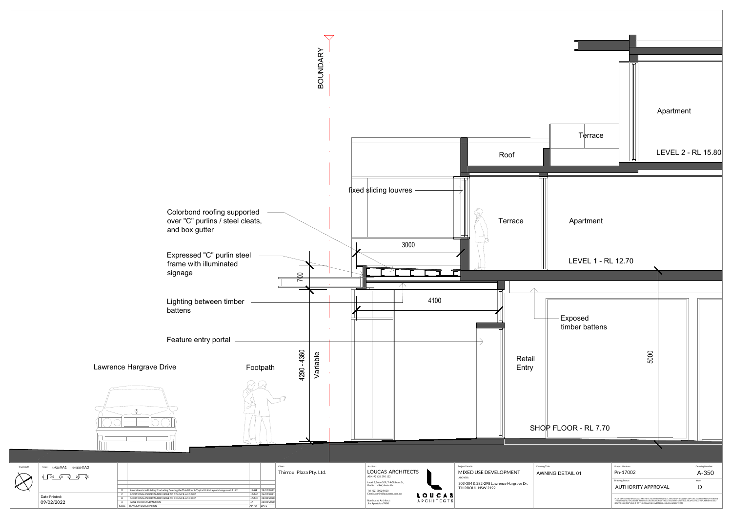

| True North | Scale: $1:50@A1$<br>1:100@A3                                           |              |                                                                                                       |       |                  | Client:                  |  | Architect                        |
|------------|------------------------------------------------------------------------|--------------|-------------------------------------------------------------------------------------------------------|-------|------------------|--------------------------|--|----------------------------------|
| X          | $\begin{vmatrix} 0.5 & 1.0 & 1.5 & 2.0 & 2.5 \end{vmatrix}$<br>$\circ$ |              |                                                                                                       |       |                  | Thirroul Plaza Pty. Ltd. |  | LOU<br><b>ABN 92</b>             |
|            |                                                                        |              |                                                                                                       |       |                  |                          |  | Level 3, 9<br>Redfern            |
|            |                                                                        | D            | Amendments to Building F Including Deleting the Third floor & Typical Units Layout changes on L1 - L2 | JA/HE | 28/02/2022       |                          |  | Tel: (02)                        |
|            | Date Printed:<br>09/02/2022                                            |              | ADDITIONAL INFORMATION ISSUE TO COUNCIL AND DRP                                                       |       | JA/MC 26/02/2021 |                          |  | Email: ac<br>Nominat<br>Jim Apos |
|            |                                                                        |              | ADDITIONAL INFORMATION ISSUE TO COUNCIL AND DRP                                                       |       | JA/MC 28/08/2020 |                          |  |                                  |
|            |                                                                        |              | ISSUE FOR DA SUBMISSION                                                                               |       | 28/02/2020       |                          |  |                                  |
|            |                                                                        | <b>ISSUE</b> | REVISION DESCRIPTION                                                                                  | APP'D | DATE             |                          |  |                                  |
|            |                                                                        |              |                                                                                                       |       |                  |                          |  |                                  |

Feature entry portal

 $\varphi$